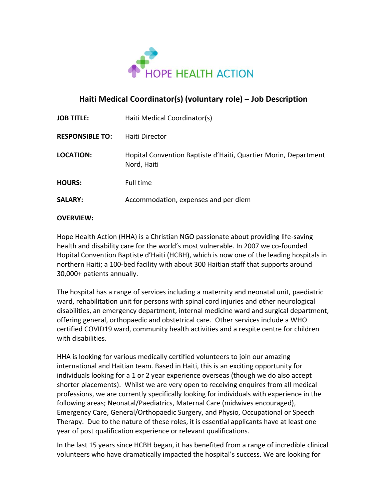

## **Haiti Medical Coordinator(s) (voluntary role) – Job Description**

| <b>JOB TITLE:</b>      | Haiti Medical Coordinator(s)                                                   |
|------------------------|--------------------------------------------------------------------------------|
| <b>RESPONSIBLE TO:</b> | Haiti Director                                                                 |
| LOCATION:              | Hopital Convention Baptiste d'Haiti, Quartier Morin, Department<br>Nord, Haiti |
| <b>HOURS:</b>          | Full time                                                                      |
| <b>SALARY:</b>         | Accommodation, expenses and per diem                                           |
|                        |                                                                                |

#### **OVERVIEW:**

Hope Health Action (HHA) is a Christian NGO passionate about providing life-saving health and disability care for the world's most vulnerable. In 2007 we co-founded Hopital Convention Baptiste d'Haiti (HCBH), which is now one of the leading hospitals in northern Haiti; a 100-bed facility with about 300 Haitian staff that supports around 30,000+ patients annually.

The hospital has a range of services including a maternity and neonatal unit, paediatric ward, rehabilitation unit for persons with spinal cord injuries and other neurological disabilities, an emergency department, internal medicine ward and surgical department, offering general, orthopaedic and obstetrical care. Other services include a WHO certified COVID19 ward, community health activities and a respite centre for children with disabilities.

HHA is looking for various medically certified volunteers to join our amazing international and Haitian team. Based in Haiti, this is an exciting opportunity for individuals looking for a 1 or 2 year experience overseas (though we do also accept shorter placements). Whilst we are very open to receiving enquires from all medical professions, we are currently specifically looking for individuals with experience in the following areas; Neonatal/Paediatrics, Maternal Care (midwives encouraged), Emergency Care, General/Orthopaedic Surgery, and Physio, Occupational or Speech Therapy. Due to the nature of these roles, it is essential applicants have at least one year of post qualification experience or relevant qualifications.

In the last 15 years since HCBH began, it has benefited from a range of incredible clinical volunteers who have dramatically impacted the hospital's success. We are looking for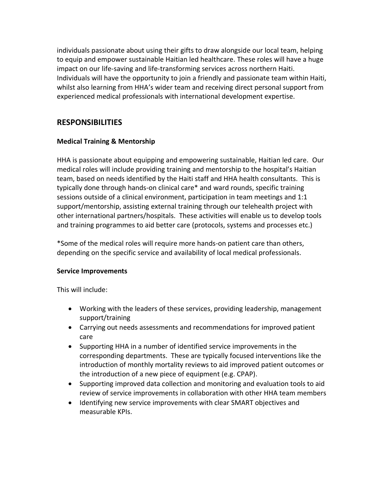individuals passionate about using their gifts to draw alongside our local team, helping to equip and empower sustainable Haitian led healthcare. These roles will have a huge impact on our life-saving and life-transforming services across northern Haiti. Individuals will have the opportunity to join a friendly and passionate team within Haiti, whilst also learning from HHA's wider team and receiving direct personal support from experienced medical professionals with international development expertise.

## **RESPONSIBILITIES**

### **Medical Training & Mentorship**

HHA is passionate about equipping and empowering sustainable, Haitian led care. Our medical roles will include providing training and mentorship to the hospital's Haitian team, based on needs identified by the Haiti staff and HHA health consultants. This is typically done through hands-on clinical care\* and ward rounds, specific training sessions outside of a clinical environment, participation in team meetings and 1:1 support/mentorship, assisting external training through our telehealth project with other international partners/hospitals. These activities will enable us to develop tools and training programmes to aid better care (protocols, systems and processes etc.)

\*Some of the medical roles will require more hands-on patient care than others, depending on the specific service and availability of local medical professionals.

#### **Service Improvements**

This will include:

- Working with the leaders of these services, providing leadership, management support/training
- Carrying out needs assessments and recommendations for improved patient care
- Supporting HHA in a number of identified service improvements in the corresponding departments. These are typically focused interventions like the introduction of monthly mortality reviews to aid improved patient outcomes or the introduction of a new piece of equipment (e.g. CPAP).
- Supporting improved data collection and monitoring and evaluation tools to aid review of service improvements in collaboration with other HHA team members
- Identifying new service improvements with clear SMART objectives and measurable KPIs.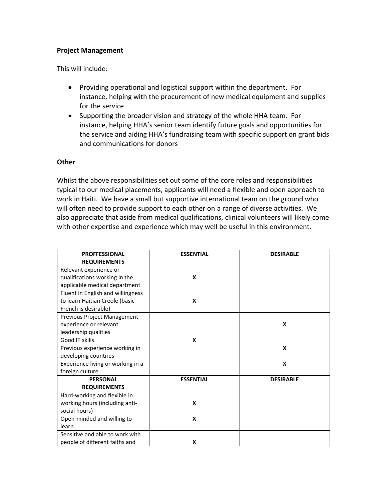#### **Project Management**

This will include:

- Providing operational and logistical support within the department. For instance, helping with the procurement of new medical equipment and supplies for the service
- Supporting the broader vision and strategy of the whole HHA team. For instance, helping HHA's senior team identify future goals and opportunities for the service and aiding HHA's fundraising team with specific support on grant bids and communications for donors

#### **Other**

Whilst the above responsibilities set out some of the core roles and responsibilities typical to our medical placements, applicants will need a flexible and open approach to work in Haiti. We have a small but supportive international team on the ground who will often need to provide support to each other on a range of diverse activities. We also appreciate that aside from medical qualifications, clinical volunteers will likely come with other expertise and experience which may well be useful in this environment.

| <b>PROFFESSIONAL</b>              | <b>ESSENTIAL</b> | <b>DESIRABLE</b> |
|-----------------------------------|------------------|------------------|
| <b>REQUIREMENTS</b>               |                  |                  |
| Relevant experience or            |                  |                  |
| qualifications working in the     | X                |                  |
| applicable medical department     |                  |                  |
| Fluent in English and willingness |                  |                  |
| to learn Haitian Creole (basic    | X                |                  |
| French is desirable)              |                  |                  |
| Previous Project Management       |                  |                  |
| experience or relevant            |                  | X                |
| leadership qualities              |                  |                  |
| Good IT skills                    | X                |                  |
| Previous experience working in    |                  | X                |
| developing countries              |                  |                  |
| Experience living or working in a |                  | X                |
| foreign culture                   |                  |                  |
| <b>PERSONAL</b>                   | <b>ESSENTIAL</b> | <b>DESIRABLE</b> |
| <b>REQUIREMENTS</b>               |                  |                  |
| Hard-working and flexible in      |                  |                  |
| working hours (including anti-    | X                |                  |
| social hours)                     |                  |                  |
| Open-minded and willing to        | X                |                  |
| learn                             |                  |                  |
| Sensitive and able to work with   |                  |                  |
| people of different faiths and    | X                |                  |